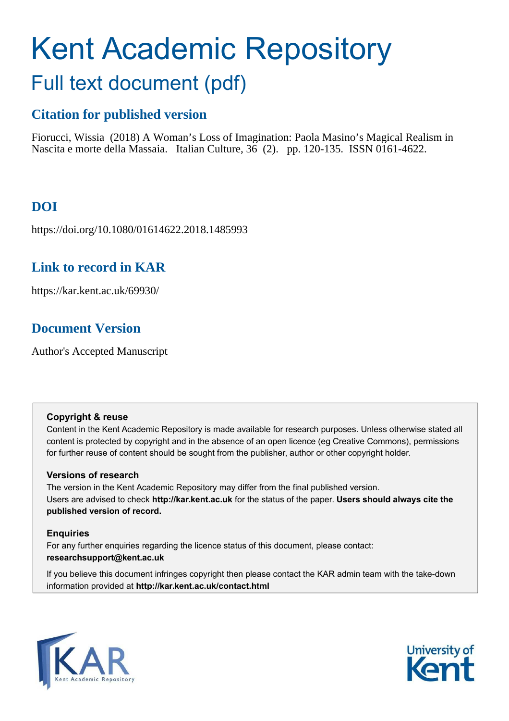# Kent Academic Repository Full text document (pdf)

# **Citation for published version**

Fiorucci, Wissia (2018) A Woman's Loss of Imagination: Paola Masino's Magical Realism in Nascita e morte della Massaia. Italian Culture, 36 (2). pp. 120-135. ISSN 0161-4622.

# **DOI**

https://doi.org/10.1080/01614622.2018.1485993

# **Link to record in KAR**

https://kar.kent.ac.uk/69930/

# **Document Version**

Author's Accepted Manuscript

## **Copyright & reuse**

Content in the Kent Academic Repository is made available for research purposes. Unless otherwise stated all content is protected by copyright and in the absence of an open licence (eg Creative Commons), permissions for further reuse of content should be sought from the publisher, author or other copyright holder.

## **Versions of research**

The version in the Kent Academic Repository may differ from the final published version. Users are advised to check **http://kar.kent.ac.uk** for the status of the paper. **Users should always cite the published version of record.**

## **Enquiries**

For any further enquiries regarding the licence status of this document, please contact: **researchsupport@kent.ac.uk**

If you believe this document infringes copyright then please contact the KAR admin team with the take-down information provided at **http://kar.kent.ac.uk/contact.html**



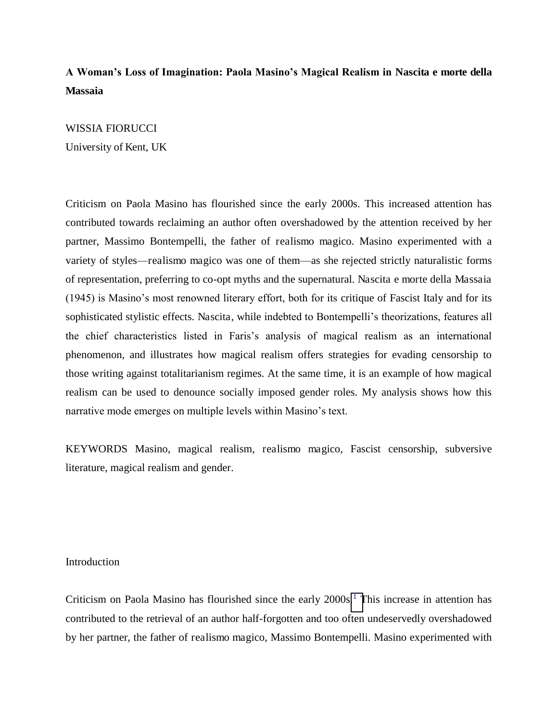## **A Woman's Loss of Imagination: Paola Masino's Magical Realism in Nascita e morte della Massaia**

### WISSIA FIORUCCI

University of Kent, UK

Criticism on Paola Masino has flourished since the early 2000s. This increased attention has contributed towards reclaiming an author often overshadowed by the attention received by her partner, Massimo Bontempelli, the father of realismo magico. Masino experimented with a variety of styles—realismo magico was one of them—as she rejected strictly naturalistic forms of representation, preferring to co-opt myths and the supernatural. Nascita e morte della Massaia (1945) is Masino's most renowned literary effort, both for its critique of Fascist Italy and for its sophisticated stylistic effects. Nascita, while indebted to Bontempelli's theorizations, features all the chief characteristics listed in Faris's analysis of magical realism as an international phenomenon, and illustrates how magical realism offers strategies for evading censorship to those writing against totalitarianism regimes. At the same time, it is an example of how magical realism can be used to denounce socially imposed gender roles. My analysis shows how this narrative mode emerges on multiple levels within Masino's text.

KEYWORDS Masino, magical realism, realismo magico, Fascist censorship, subversive literature, magical realism and gender.

## Introduction

Criticism on Paola Masino has flourished since the early  $2000s$ .<sup>1</sup> [T](#page-16-0)his increase in attention has contributed to the retrieval of an author half-forgotten and too often undeservedly overshadowed by her partner, the father of realismo magico, Massimo Bontempelli. Masino experimented with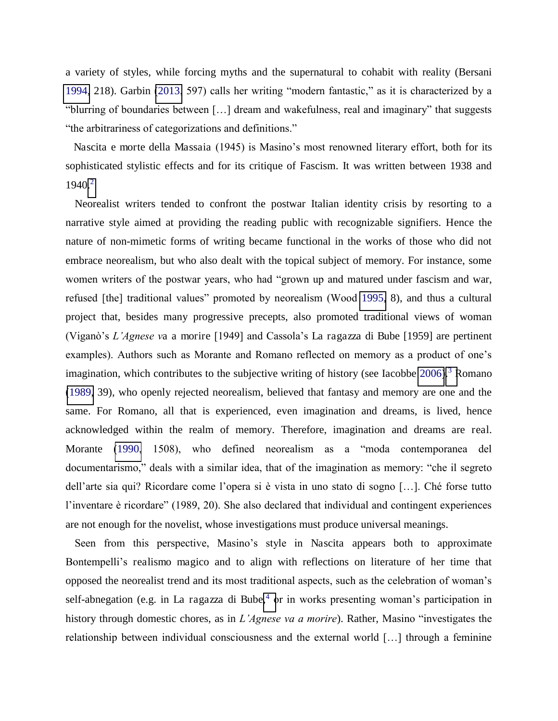a variety of styles, while forcing myths and the supernatural to cohabit with reality (Bersani [1994,](#page-18-0) 218). Garbin [\(2013](#page-21-0), 597) calls her writing "modern fantastic," as it is characterized by a "blurring of boundaries between […] dream and wakefulness, real and imaginary" that suggests "the arbitrariness of categorizations and definitions."

 Nascita e morte della Massaia (1945) is Masino's most renowned literary effort, both for its sophisticated stylistic effects and for its critique of Fascism. It was written between 1938 and  $1940.<sup>2</sup>$ 

Neorealist writers tended to confront the postwar Italian identity crisis by resorting to a narrative style aimed at providing the reading public with recognizable signifiers. Hence the nature of non-mimetic forms of writing became functional in the works of those who did not embrace neorealism, but who also dealt with the topical subject of memory. For instance, some women writers of the postwar years, who had "grown up and matured under fascism and war, refused [the] traditional values" promoted by neorealism (Wood [1995,](#page-24-0) 8), and thus a cultural project that, besides many progressive precepts, also promoted traditional views of woman (Viganò's *L'Agnese v*a a morire [1949] and Cassola's La ragazza di Bube [1959] are pertinent examples). Authors such as Morante and Romano reflected on memory as a product of one's imagination, which contributes to the subjective writing of history (see Iacobbe  $2006$ ).<sup>3</sup> [R](#page-16-0)omano [\(1989,](#page-21-0) 39), who openly rejected neorealism, believed that fantasy and memory are one and the same. For Romano, all that is experienced, even imagination and dreams, is lived, hence acknowledged within the realm of memory. Therefore, imagination and dreams are real. Morante [\(1990](#page-21-0), 1508), who defined neorealism as a "moda contemporanea del documentarismo," deals with a similar idea, that of the imagination as memory: "che il segreto dell'arte sia qui? Ricordare come l'opera si è vista in uno stato di sogno […]. Ché forse tutto l'inventare è ricordare" (1989, 20). She also declared that individual and contingent experiences are not enough for the novelist, whose investigations must produce universal meanings.

Seen from this perspective, Masino's style in Nascita appears both to approximate Bontempelli's realismo magico and to align with reflections on literature of her time that opposed the neorealist trend and its most traditional aspects, such as the celebration of woman's self-abnegation (e.g. in La ragazza di Bube[,](#page-18-0)<sup>4</sup> or in works presenting woman's participation in history through domestic chores, as in *L'Agnese va a morire*). Rather, Masino "investigates the relationship between individual consciousness and the external world […] through a feminine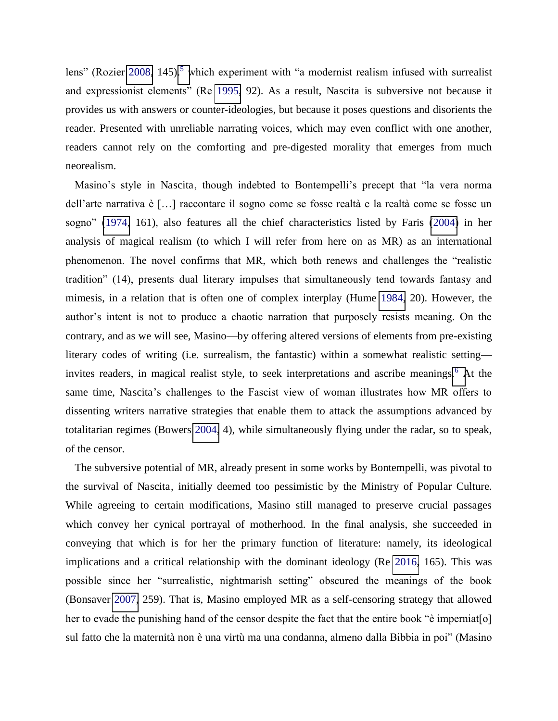lens" (Rozier [2008,](#page-21-0) 14[5](#page-18-0)).<sup>5</sup> which experiment with "a modernist realism infused with surrealist and expressionist elements" (Re [1995,](#page-21-0) 92). As a result, Nascita is subversive not because it provides us with answers or counter-ideologies, but because it poses questions and disorients the reader. Presented with unreliable narrating voices, which may even conflict with one another, readers cannot rely on the comforting and pre-digested morality that emerges from much neorealism.

Masino's style in Nascita, though indebted to Bontempelli's precept that "la vera norma dell'arte narrativa è […] raccontare il sogno come se fosse realtà e la realtà come se fosse un sogno" ([1974,](#page-18-0) 161), also features all the chief characteristics listed by Faris [\(2004\)](#page-21-0) in her analysis of magical realism (to which I will refer from here on as MR) as an international phenomenon. The novel confirms that MR, which both renews and challenges the "realistic tradition" (14), presents dual literary impulses that simultaneously tend towards fantasy and mimesis, in a relation that is often one of complex interplay (Hume [1984,](#page-21-0) 20). However, the author's intent is not to produce a chaotic narration that purposely resists meaning. On the contrary, and as we will see, Masino—by offering altered versions of elements from pre-existing literary codes of writing (i.e. surrealism, the fantastic) within a somewhat realistic setting— invites readers, in magical realist style, to seek interpretations and ascribe meanings.<sup>6</sup> [A](#page-18-0)t the same time, Nascita's challenges to the Fascist view of woman illustrates how MR offers to dissenting writers narrative strategies that enable them to attack the assumptions advanced by totalitarian regimes (Bowers [2004,](#page-18-0) 4), while simultaneously flying under the radar, so to speak, of the censor.

The subversive potential of MR, already present in some works by Bontempelli, was pivotal to the survival of Nascita, initially deemed too pessimistic by the Ministry of Popular Culture. While agreeing to certain modifications, Masino still managed to preserve crucial passages which convey her cynical portrayal of motherhood. In the final analysis, she succeeded in conveying that which is for her the primary function of literature: namely, its ideological implications and a critical relationship with the dominant ideology (Re [2016,](#page-21-0) 165). This was possible since her "surrealistic, nightmarish setting" obscured the meanings of the book (Bonsaver [2007,](#page-18-0) 259). That is, Masino employed MR as a self-censoring strategy that allowed her to evade the punishing hand of the censor despite the fact that the entire book "è imperniat<sup>[0]</sup> sul fatto che la maternità non è una virtù ma una condanna, almeno dalla Bibbia in poi" (Masino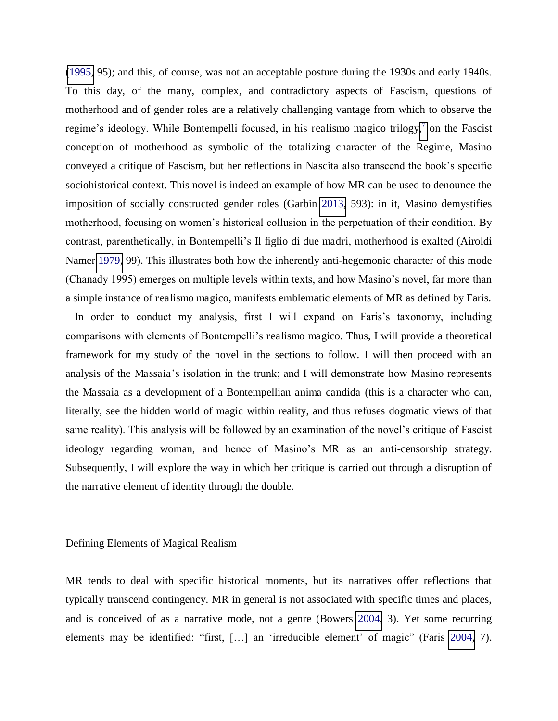[\(1995,](#page-21-0) 95); and this, of course, was not an acceptable posture during the 1930s and early 1940s. To this day, of the many, complex, and contradictory aspects of Fascism, questions of motherhood and of gender roles are a relatively challenging vantage from which to observe the regime's ideology. While Bontempelli focused, in his realismo magico trilogy, $\frac{7}{7}$  $\frac{7}{7}$  $\frac{7}{7}$  on the Fascist conception of motherhood as symbolic of the totalizing character of the Regime, Masino conveyed a critique of Fascism, but her reflections in Nascita also transcend the book's specific sociohistorical context. This novel is indeed an example of how MR can be used to denounce the imposition of socially constructed gender roles (Garbin [2013,](#page-21-0) 593): in it, Masino demystifies motherhood, focusing on women's historical collusion in the perpetuation of their condition. By contrast, parenthetically, in Bontempelli's Il figlio di due madri, motherhood is exalted (Airoldi Namer [1979,](#page-18-0) 99). This illustrates both how the inherently anti-hegemonic character of this mode (Chanady 1995) emerges on multiple levels within texts, and how Masino's novel, far more than a simple instance of realismo magico, manifests emblematic elements of MR as defined by Faris.

In order to conduct my analysis, first I will expand on Faris's taxonomy, including comparisons with elements of Bontempelli's realismo magico. Thus, I will provide a theoretical framework for my study of the novel in the sections to follow. I will then proceed with an analysis of the Massaia's isolation in the trunk; and I will demonstrate how Masino represents the Massaia as a development of a Bontempellian anima candida (this is a character who can, literally, see the hidden world of magic within reality, and thus refuses dogmatic views of that same reality). This analysis will be followed by an examination of the novel's critique of Fascist ideology regarding woman, and hence of Masino's MR as an anti-censorship strategy. Subsequently, I will explore the way in which her critique is carried out through a disruption of the narrative element of identity through the double.

### Defining Elements of Magical Realism

MR tends to deal with specific historical moments, but its narratives offer reflections that typically transcend contingency. MR in general is not associated with specific times and places, and is conceived of as a narrative mode, not a genre (Bowers [2004,](#page-18-0) 3). Yet some recurring elements may be identified: "first, […] an 'irreducible element' of magic" (Faris [2004,](#page-21-0) 7).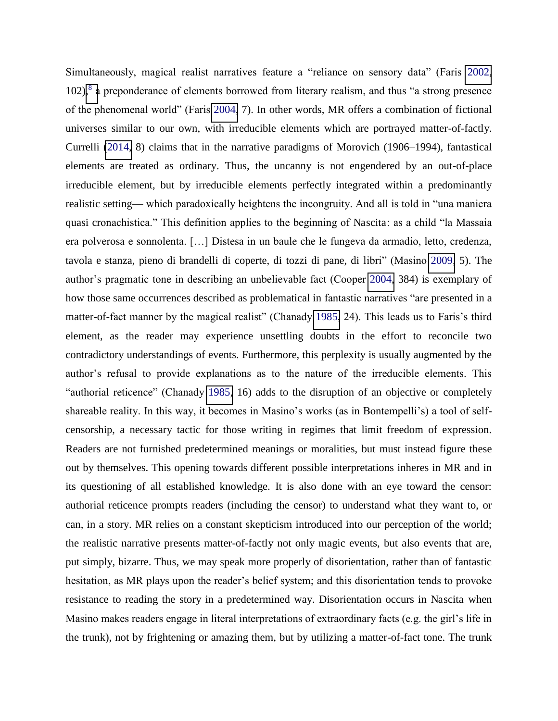Simultaneously, magical realist narratives feature a "reliance on sensory data" (Faris [2002,](#page-21-0) 102),<sup>[8](#page-18-0)</sup> a preponderance of elements borrowed from literary realism, and thus "a strong presence of the phenomenal world" (Faris [2004,](#page-21-0) 7). In other words, MR offers a combination of fictional universes similar to our own, with irreducible elements which are portrayed matter-of-factly. Currelli [\(2014,](#page-21-0) 8) claims that in the narrative paradigms of Morovich (1906–1994), fantastical elements are treated as ordinary. Thus, the uncanny is not engendered by an out-of-place irreducible element, but by irreducible elements perfectly integrated within a predominantly realistic setting— which paradoxically heightens the incongruity. And all is told in "una maniera quasi cronachistica." This definition applies to the beginning of Nascita: as a child "la Massaia era polverosa e sonnolenta. […] Distesa in un baule che le fungeva da armadio, letto, credenza, tavola e stanza, pieno di brandelli di coperte, di tozzi di pane, di libri" (Masino [2009,](#page-21-0) 5). The author's pragmatic tone in describing an unbelievable fact (Cooper [2004,](#page-21-0) 384) is exemplary of how those same occurrences described as problematical in fantastic narratives "are presented in a matter-of-fact manner by the magical realist" (Chanady [1985](#page-21-0), 24). This leads us to Faris's third element, as the reader may experience unsettling doubts in the effort to reconcile two contradictory understandings of events. Furthermore, this perplexity is usually augmented by the author's refusal to provide explanations as to the nature of the irreducible elements. This "authorial reticence" (Chanady [1985,](#page-21-0) 16) adds to the disruption of an objective or completely shareable reality. In this way, it becomes in Masino's works (as in Bontempelli's) a tool of selfcensorship, a necessary tactic for those writing in regimes that limit freedom of expression. Readers are not furnished predetermined meanings or moralities, but must instead figure these out by themselves. This opening towards different possible interpretations inheres in MR and in its questioning of all established knowledge. It is also done with an eye toward the censor: authorial reticence prompts readers (including the censor) to understand what they want to, or can, in a story. MR relies on a constant skepticism introduced into our perception of the world; the realistic narrative presents matter-of-factly not only magic events, but also events that are, put simply, bizarre. Thus, we may speak more properly of disorientation, rather than of fantastic hesitation, as MR plays upon the reader's belief system; and this disorientation tends to provoke resistance to reading the story in a predetermined way. Disorientation occurs in Nascita when Masino makes readers engage in literal interpretations of extraordinary facts (e.g. the girl's life in the trunk), not by frightening or amazing them, but by utilizing a matter-of-fact tone. The trunk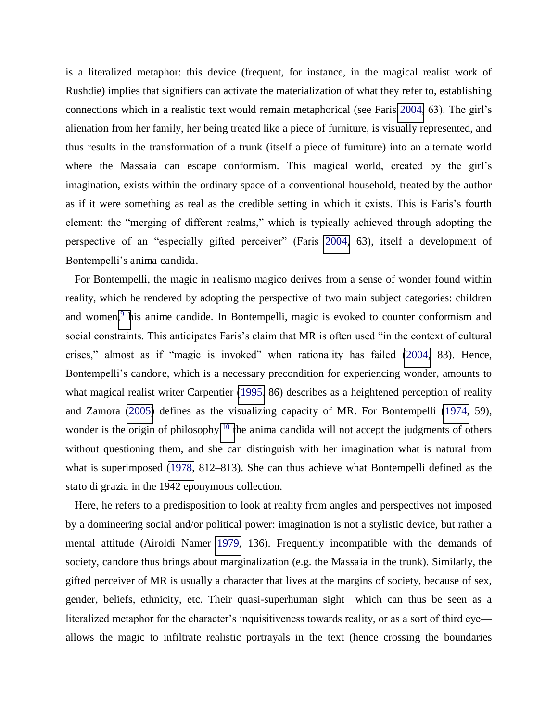is a literalized metaphor: this device (frequent, for instance, in the magical realist work of Rushdie) implies that signifiers can activate the materialization of what they refer to, establishing connections which in a realistic text would remain metaphorical (see Faris [2004](#page-21-0), 63). The girl's alienation from her family, her being treated like a piece of furniture, is visually represented, and thus results in the transformation of a trunk (itself a piece of furniture) into an alternate world where the Massaia can escape conformism. This magical world, created by the girl's imagination, exists within the ordinary space of a conventional household, treated by the author as if it were something as real as the credible setting in which it exists. This is Faris's fourth element: the "merging of different realms," which is typically achieved through adopting the perspective of an "especially gifted perceiver" (Faris [2004,](#page-21-0) 63), itself a development of Bontempelli's anima candida.

For Bontempelli, the magic in realismo magico derives from a sense of wonder found within reality, which he rendered by adopting the perspective of two main subject categories: children and women,<sup>9</sup> [h](#page-18-0)is anime candide. In Bontempelli, magic is evoked to counter conformism and social constraints. This anticipates Faris's claim that MR is often used "in the context of cultural crises," almost as if "magic is invoked" when rationality has failed ([2004,](#page-21-0) 83). Hence, Bontempelli's candore, which is a necessary precondition for experiencing wonder, amounts to what magical realist writer Carpentier [\(1995,](#page-18-0) 86) describes as a heightened perception of reality and Zamora [\(2005\)](#page-24-0) defines as the visualizing capacity of MR. For Bontempelli [\(1974,](#page-18-0) 59), wonder is [t](#page-18-0)he origin of philosophy:<sup>10</sup> the anima candida will not accept the judgments of others without questioning them, and she can distinguish with her imagination what is natural from what is superimposed [\(1978,](#page-18-0) 812–813). She can thus achieve what Bontempelli defined as the stato di grazia in the 1942 eponymous collection.

Here, he refers to a predisposition to look at reality from angles and perspectives not imposed by a domineering social and/or political power: imagination is not a stylistic device, but rather a mental attitude (Airoldi Namer [1979,](#page-18-0) 136). Frequently incompatible with the demands of society, candore thus brings about marginalization (e.g. the Massaia in the trunk). Similarly, the gifted perceiver of MR is usually a character that lives at the margins of society, because of sex, gender, beliefs, ethnicity, etc. Their quasi-superhuman sight—which can thus be seen as a literalized metaphor for the character's inquisitiveness towards reality, or as a sort of third eye allows the magic to infiltrate realistic portrayals in the text (hence crossing the boundaries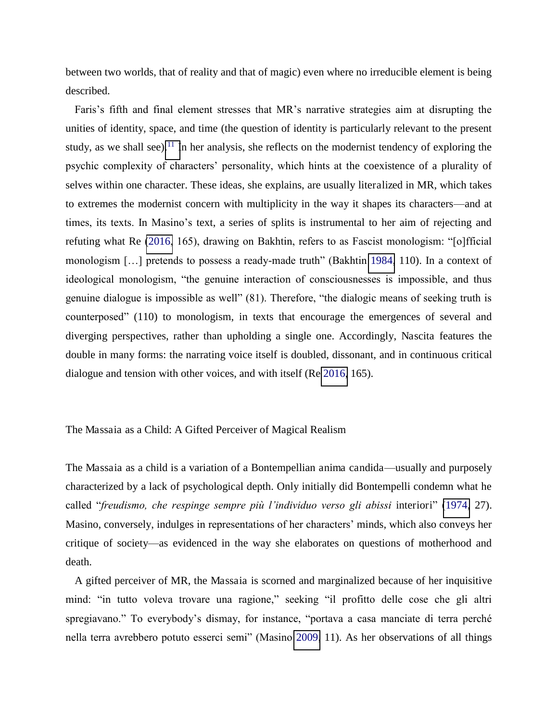between two worlds, that of reality and that of magic) even where no irreducible element is being described.

Faris's fifth and final element stresses that MR's narrative strategies aim at disrupting the unities of identity, space, and time (the question of identity is particularly relevant to the present study, as we shall see).<sup>[11](#page-18-0)</sup> In her analysis, she reflects on the modernist tendency of exploring the psychic complexity of characters' personality, which hints at the coexistence of a plurality of selves within one character. These ideas, she explains, are usually literalized in MR, which takes to extremes the modernist concern with multiplicity in the way it shapes its characters—and at times, its texts. In Masino's text, a series of splits is instrumental to her aim of rejecting and refuting what Re [\(2016](#page-21-0), 165), drawing on Bakhtin, refers to as Fascist monologism: "[o]fficial monologism […] pretends to possess a ready-made truth" (Bakhtin [1984,](#page-18-0) 110). In a context of ideological monologism, "the genuine interaction of consciousnesses is impossible, and thus genuine dialogue is impossible as well" (81). Therefore, "the dialogic means of seeking truth is counterposed" (110) to monologism, in texts that encourage the emergences of several and diverging perspectives, rather than upholding a single one. Accordingly, Nascita features the double in many forms: the narrating voice itself is doubled, dissonant, and in continuous critical dialogue and tension with other voices, and with itself (Re [2016,](#page-21-0) 165).

The Massaia as a Child: A Gifted Perceiver of Magical Realism

The Massaia as a child is a variation of a Bontempellian anima candida—usually and purposely characterized by a lack of psychological depth. Only initially did Bontempelli condemn what he called "*freudismo, che respinge sempre più l'individuo verso gli abissi* interiori" ([1974,](#page-18-0) 27). Masino, conversely, indulges in representations of her characters' minds, which also conveys her critique of society—as evidenced in the way she elaborates on questions of motherhood and death.

A gifted perceiver of MR, the Massaia is scorned and marginalized because of her inquisitive mind: "in tutto voleva trovare una ragione," seeking "il profitto delle cose che gli altri spregiavano." To everybody's dismay, for instance, "portava a casa manciate di terra perché nella terra avrebbero potuto esserci semi" (Masino [2009,](#page-21-0) 11). As her observations of all things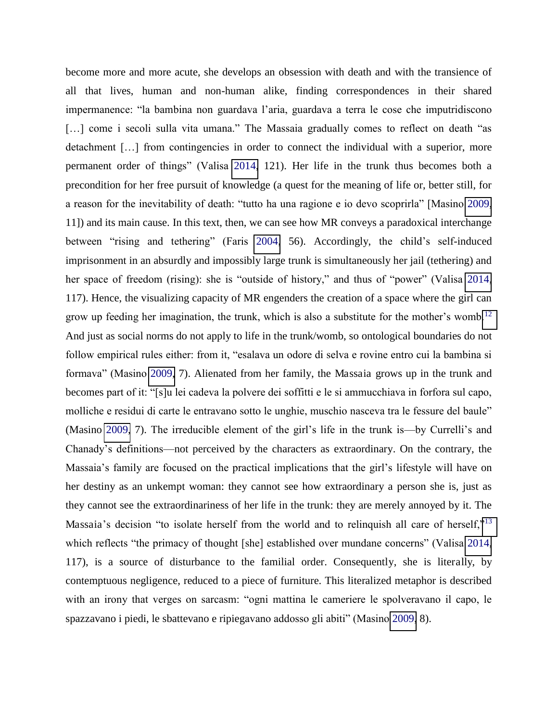become more and more acute, she develops an obsession with death and with the transience of all that lives, human and non-human alike, finding correspondences in their shared impermanence: "la bambina non guardava l'aria, guardava a terra le cose che imputridiscono [...] come i secoli sulla vita umana." The Massaia gradually comes to reflect on death "as detachment [...] from contingencies in order to connect the individual with a superior, more permanent order of things" (Valisa [2014,](#page-24-0) 121). Her life in the trunk thus becomes both a precondition for her free pursuit of knowledge (a quest for the meaning of life or, better still, for a reason for the inevitability of death: "tutto ha una ragione e io devo scoprirla" [Masino [2009,](#page-21-0) 11]) and its main cause. In this text, then, we can see how MR conveys a paradoxical interchange between "rising and tethering" (Faris [2004,](#page-21-0) 56). Accordingly, the child's self-induced imprisonment in an absurdly and impossibly large trunk is simultaneously her jail (tethering) and her space of freedom (rising): she is "outside of history," and thus of "power" (Valisa [2014,](#page-24-0) 117). Hence, the visualizing capacity of MR engenders the creation of a space where the girl can grow up feeding her imagination, the trunk, which is also a substitute for the mother's womb.<sup>[12](#page-18-0)</sup> And just as social norms do not apply to life in the trunk/womb, so ontological boundaries do not follow empirical rules either: from it, "esalava un odore di selva e rovine entro cui la bambina si formava" (Masino [2009,](#page-21-0) 7). Alienated from her family, the Massaia grows up in the trunk and becomes part of it: "[s]u lei cadeva la polvere dei soffitti e le si ammucchiava in forfora sul capo, molliche e residui di carte le entravano sotto le unghie, muschio nasceva tra le fessure del baule" (Masino [2009,](#page-21-0) 7). The irreducible element of the girl's life in the trunk is—by Currelli's and Chanady's definitions—not perceived by the characters as extraordinary. On the contrary, the Massaia's family are focused on the practical implications that the girl's lifestyle will have on her destiny as an unkempt woman: they cannot see how extraordinary a person she is, just as they cannot see the extraordinariness of her life in the trunk: they are merely annoyed by it. The Massaia's decision "to isolate herself from the world and to relinquish all care of herself,"<sup>[13](#page-18-0)</sup> which reflects "the primacy of thought [she] established over mundane concerns" (Valisa [2014,](#page-24-0) 117), is a source of disturbance to the familial order. Consequently, she is literally, by contemptuous negligence, reduced to a piece of furniture. This literalized metaphor is described with an irony that verges on sarcasm: "ogni mattina le cameriere le spolveravano il capo, le spazzavano i piedi, le sbattevano e ripiegavano addosso gli abiti" (Masino [2009,](#page-21-0) 8).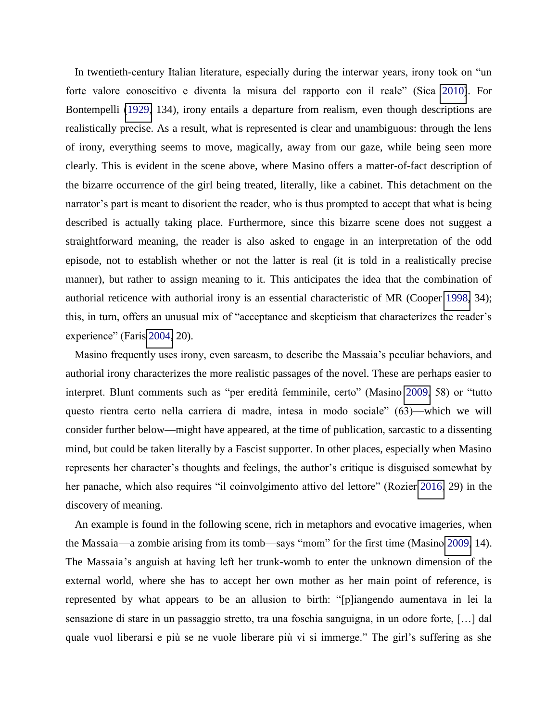In twentieth-century Italian literature, especially during the interwar years, irony took on "un forte valore conoscitivo e diventa la misura del rapporto con il reale" (Sica [2010\)](#page-24-0). For Bontempelli [\(1929,](#page-18-0) 134), irony entails a departure from realism, even though descriptions are realistically precise. As a result, what is represented is clear and unambiguous: through the lens of irony, everything seems to move, magically, away from our gaze, while being seen more clearly. This is evident in the scene above, where Masino offers a matter-of-fact description of the bizarre occurrence of the girl being treated, literally, like a cabinet. This detachment on the narrator's part is meant to disorient the reader, who is thus prompted to accept that what is being described is actually taking place. Furthermore, since this bizarre scene does not suggest a straightforward meaning, the reader is also asked to engage in an interpretation of the odd episode, not to establish whether or not the latter is real (it is told in a realistically precise manner), but rather to assign meaning to it. This anticipates the idea that the combination of authorial reticence with authorial irony is an essential characteristic of MR (Cooper [1998,](#page-21-0) 34); this, in turn, offers an unusual mix of "acceptance and skepticism that characterizes the reader's experience" (Faris [2004,](#page-21-0) 20).

Masino frequently uses irony, even sarcasm, to describe the Massaia's peculiar behaviors, and authorial irony characterizes the more realistic passages of the novel. These are perhaps easier to interpret. Blunt comments such as "per eredità femminile, certo" (Masino [2009](#page-21-0), 58) or "tutto questo rientra certo nella carriera di madre, intesa in modo sociale" (63)—which we will consider further below—might have appeared, at the time of publication, sarcastic to a dissenting mind, but could be taken literally by a Fascist supporter. In other places, especially when Masino represents her character's thoughts and feelings, the author's critique is disguised somewhat by her panache, which also requires "il coinvolgimento attivo del lettore" (Rozier [2016,](#page-21-0) 29) in the discovery of meaning.

An example is found in the following scene, rich in metaphors and evocative imageries, when the Massaia—a zombie arising from its tomb—says "mom" for the first time (Masino [2009,](#page-21-0) 14). The Massaia's anguish at having left her trunk-womb to enter the unknown dimension of the external world, where she has to accept her own mother as her main point of reference, is represented by what appears to be an allusion to birth: "[p]iangendo aumentava in lei la sensazione di stare in un passaggio stretto, tra una foschia sanguigna, in un odore forte, […] dal quale vuol liberarsi e più se ne vuole liberare più vi si immerge." The girl's suffering as she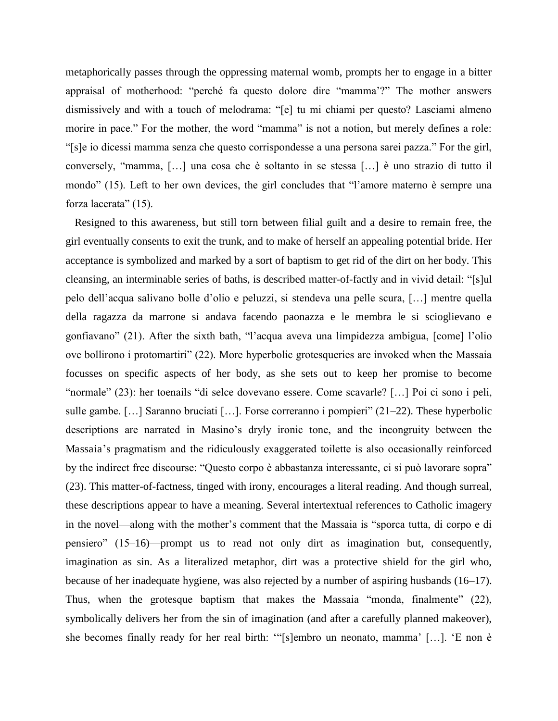metaphorically passes through the oppressing maternal womb, prompts her to engage in a bitter appraisal of motherhood: "perché fa questo dolore dire "mamma'?" The mother answers dismissively and with a touch of melodrama: "[e] tu mi chiami per questo? Lasciami almeno morire in pace." For the mother, the word "mamma" is not a notion, but merely defines a role: "[s]e io dicessi mamma senza che questo corrispondesse a una persona sarei pazza." For the girl, conversely, "mamma, […] una cosa che è soltanto in se stessa […] è uno strazio di tutto il mondo" (15). Left to her own devices, the girl concludes that "l'amore materno è sempre una forza lacerata" (15).

Resigned to this awareness, but still torn between filial guilt and a desire to remain free, the girl eventually consents to exit the trunk, and to make of herself an appealing potential bride. Her acceptance is symbolized and marked by a sort of baptism to get rid of the dirt on her body. This cleansing, an interminable series of baths, is described matter-of-factly and in vivid detail: "[s]ul pelo dell'acqua salivano bolle d'olio e peluzzi, si stendeva una pelle scura, […] mentre quella della ragazza da marrone si andava facendo paonazza e le membra le si scioglievano e gonfiavano" (21). After the sixth bath, "l'acqua aveva una limpidezza ambigua, [come] l'olio ove bollirono i protomartiri" (22). More hyperbolic grotesqueries are invoked when the Massaia focusses on specific aspects of her body, as she sets out to keep her promise to become "normale" (23): her toenails "di selce dovevano essere. Come scavarle? […] Poi ci sono i peli, sulle gambe. [...] Saranno bruciati [...]. Forse correranno i pompieri" (21–22). These hyperbolic descriptions are narrated in Masino's dryly ironic tone, and the incongruity between the Massaia's pragmatism and the ridiculously exaggerated toilette is also occasionally reinforced by the indirect free discourse: "Questo corpo è abbastanza interessante, ci si può lavorare sopra" (23). This matter-of-factness, tinged with irony, encourages a literal reading. And though surreal, these descriptions appear to have a meaning. Several intertextual references to Catholic imagery in the novel—along with the mother's comment that the Massaia is "sporca tutta, di corpo e di pensiero" (15–16)—prompt us to read not only dirt as imagination but, consequently, imagination as sin. As a literalized metaphor, dirt was a protective shield for the girl who, because of her inadequate hygiene, was also rejected by a number of aspiring husbands (16–17). Thus, when the grotesque baptism that makes the Massaia "monda, finalmente" (22), symbolically delivers her from the sin of imagination (and after a carefully planned makeover), she becomes finally ready for her real birth: '"[s]embro un neonato, mamma' […]. 'E non è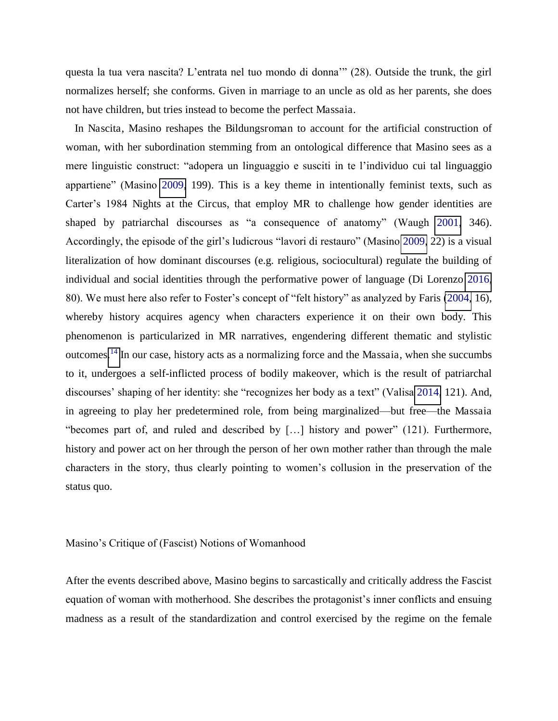questa la tua vera nascita? L'entrata nel tuo mondo di donna'" (28). Outside the trunk, the girl normalizes herself; she conforms. Given in marriage to an uncle as old as her parents, she does not have children, but tries instead to become the perfect Massaia.

In Nascita, Masino reshapes the Bildungsroman to account for the artificial construction of woman, with her subordination stemming from an ontological difference that Masino sees as a mere linguistic construct: "adopera un linguaggio e susciti in te l'individuo cui tal linguaggio appartiene" (Masino [2009,](#page-21-0) 199). This is a key theme in intentionally feminist texts, such as Carter's 1984 Nights at the Circus, that employ MR to challenge how gender identities are shaped by patriarchal discourses as "a consequence of anatomy" (Waugh [2001,](#page-24-0) 346). Accordingly, the episode of the girl's ludicrous "lavori di restauro" (Masino [2009,](#page-21-0) 22) is a visual literalization of how dominant discourses (e.g. religious, sociocultural) regulate the building of individual and social identities through the performative power of language (Di Lorenzo [2016,](#page-21-0) 80). We must here also refer to Foster's concept of "felt history" as analyzed by Faris [\(2004,](#page-21-0) 16), whereby history acquires agency when characters experience it on their own body. This phenomenon is particularized in MR narratives, engendering different thematic and stylistic outcomes.[14](#page-18-0) In our case, history acts as a normalizing force and the Massaia, when she succumbs to it, undergoes a self-inflicted process of bodily makeover, which is the result of patriarchal discourses' shaping of her identity: she "recognizes her body as a text" (Valisa [2014,](#page-24-0) 121). And, in agreeing to play her predetermined role, from being marginalized—but free—the Massaia "becomes part of, and ruled and described by […] history and power" (121). Furthermore, history and power act on her through the person of her own mother rather than through the male characters in the story, thus clearly pointing to women's collusion in the preservation of the status quo.

Masino's Critique of (Fascist) Notions of Womanhood

After the events described above, Masino begins to sarcastically and critically address the Fascist equation of woman with motherhood. She describes the protagonist's inner conflicts and ensuing madness as a result of the standardization and control exercised by the regime on the female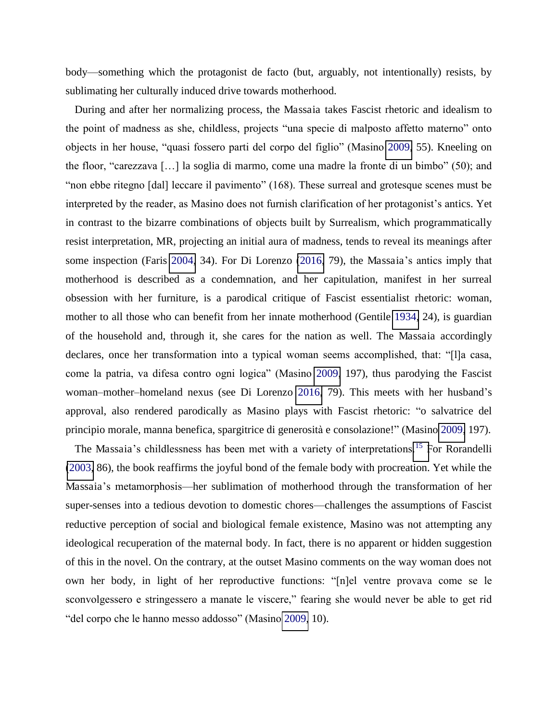body—something which the protagonist de facto (but, arguably, not intentionally) resists, by sublimating her culturally induced drive towards motherhood.

During and after her normalizing process, the Massaia takes Fascist rhetoric and idealism to the point of madness as she, childless, projects "una specie di malposto affetto materno" onto objects in her house, "quasi fossero parti del corpo del figlio" (Masino [2009,](#page-21-0) 55). Kneeling on the floor, "carezzava […] la soglia di marmo, come una madre la fronte di un bimbo" (50); and "non ebbe ritegno [dal] leccare il pavimento" (168). These surreal and grotesque scenes must be interpreted by the reader, as Masino does not furnish clarification of her protagonist's antics. Yet in contrast to the bizarre combinations of objects built by Surrealism, which programmatically resist interpretation, MR, projecting an initial aura of madness, tends to reveal its meanings after some inspection (Faris [2004,](#page-21-0) 34). For Di Lorenzo [\(2016,](#page-21-0) 79), the Massaia's antics imply that motherhood is described as a condemnation, and her capitulation, manifest in her surreal obsession with her furniture, is a parodical critique of Fascist essentialist rhetoric: woman, mother to all those who can benefit from her innate motherhood (Gentile [1934,](#page-21-0) 24), is guardian of the household and, through it, she cares for the nation as well. The Massaia accordingly declares, once her transformation into a typical woman seems accomplished, that: "[l]a casa, come la patria, va difesa contro ogni logica" (Masino [2009,](#page-21-0) 197), thus parodying the Fascist woman–mother–homeland nexus (see Di Lorenzo [2016,](#page-21-0) 79). This meets with her husband's approval, also rendered parodically as Masino plays with Fascist rhetoric: "o salvatrice del principio morale, manna benefica, spargitrice di generosità e consolazione!" (Masino [2009,](#page-21-0) 197).

The Massaia's childlessness has been met with a variety of interpretations.<sup>15</sup> [F](#page-18-0)or Rorandelli [\(2003,](#page-21-0) 86), the book reaffirms the joyful bond of the female body with procreation. Yet while the Massaia's metamorphosis—her sublimation of motherhood through the transformation of her super-senses into a tedious devotion to domestic chores—challenges the assumptions of Fascist reductive perception of social and biological female existence, Masino was not attempting any ideological recuperation of the maternal body. In fact, there is no apparent or hidden suggestion of this in the novel. On the contrary, at the outset Masino comments on the way woman does not own her body, in light of her reproductive functions: "[n]el ventre provava come se le sconvolgessero e stringessero a manate le viscere," fearing she would never be able to get rid "del corpo che le hanno messo addosso" (Masino [2009,](#page-21-0) 10).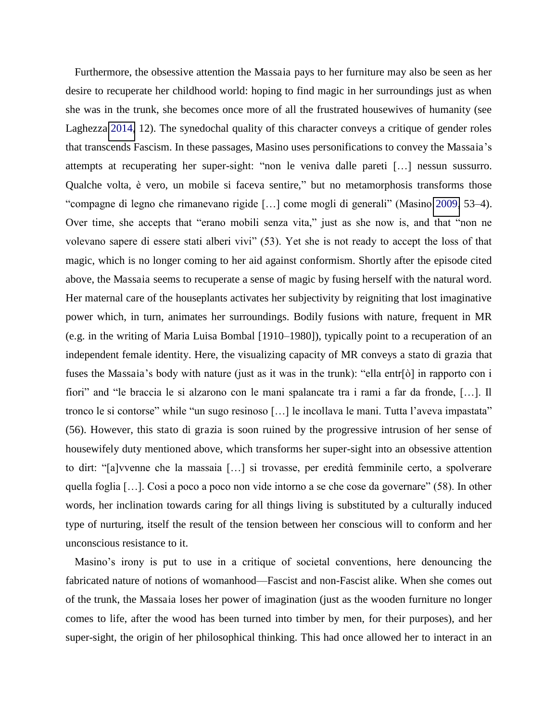Furthermore, the obsessive attention the Massaia pays to her furniture may also be seen as her desire to recuperate her childhood world: hoping to find magic in her surroundings just as when she was in the trunk, she becomes once more of all the frustrated housewives of humanity (see Laghezza [2014,](#page-21-0) 12). The synedochal quality of this character conveys a critique of gender roles that transcends Fascism. In these passages, Masino uses personifications to convey the Massaia's attempts at recuperating her super-sight: "non le veniva dalle pareti […] nessun sussurro. Qualche volta, è vero, un mobile si faceva sentire," but no metamorphosis transforms those "compagne di legno che rimanevano rigide […] come mogli di generali" (Masino [2009,](#page-21-0) 53–4). Over time, she accepts that "erano mobili senza vita," just as she now is, and that "non ne volevano sapere di essere stati alberi vivi" (53). Yet she is not ready to accept the loss of that magic, which is no longer coming to her aid against conformism. Shortly after the episode cited above, the Massaia seems to recuperate a sense of magic by fusing herself with the natural word. Her maternal care of the houseplants activates her subjectivity by reigniting that lost imaginative power which, in turn, animates her surroundings. Bodily fusions with nature, frequent in MR (e.g. in the writing of Maria Luisa Bombal [1910–1980]), typically point to a recuperation of an independent female identity. Here, the visualizing capacity of MR conveys a stato di grazia that fuses the Massaia's body with nature (just as it was in the trunk): "ella entr[ò] in rapporto con i fiori" and "le braccia le si alzarono con le mani spalancate tra i rami a far da fronde, […]. Il tronco le si contorse" while "un sugo resinoso […] le incollava le mani. Tutta l'aveva impastata" (56). However, this stato di grazia is soon ruined by the progressive intrusion of her sense of housewifely duty mentioned above, which transforms her super-sight into an obsessive attention to dirt: "[a]vvenne che la massaia […] si trovasse, per eredità femminile certo, a spolverare quella foglia […]. Cosi a poco a poco non vide intorno a se che cose da governare" (58). In other words, her inclination towards caring for all things living is substituted by a culturally induced type of nurturing, itself the result of the tension between her conscious will to conform and her unconscious resistance to it.

Masino's irony is put to use in a critique of societal conventions, here denouncing the fabricated nature of notions of womanhood—Fascist and non-Fascist alike. When she comes out of the trunk, the Massaia loses her power of imagination (just as the wooden furniture no longer comes to life, after the wood has been turned into timber by men, for their purposes), and her super-sight, the origin of her philosophical thinking. This had once allowed her to interact in an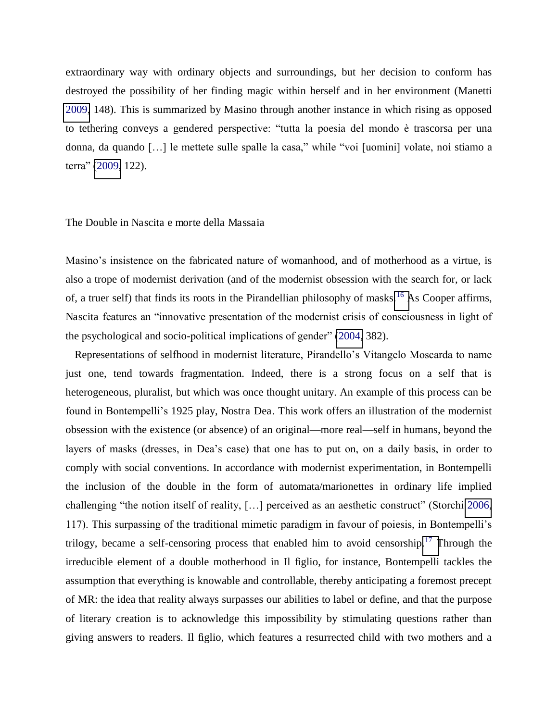extraordinary way with ordinary objects and surroundings, but her decision to conform has destroyed the possibility of her finding magic within herself and in her environment (Manetti [2009,](#page-21-0) 148). This is summarized by Masino through another instance in which rising as opposed to tethering conveys a gendered perspective: "tutta la poesia del mondo è trascorsa per una donna, da quando […] le mettete sulle spalle la casa," while "voi [uomini] volate, noi stiamo a terra" ([2009,](#page-21-0) 122).

### The Double in Nascita e morte della Massaia

Masino's insistence on the fabricated nature of womanhood, and of motherhood as a virtue, is also a trope of modernist derivation (and of the modernist obsession with the search for, or lack of, a truer self) that finds its roots in the Pirandellian philosophy of masks.<sup>16</sup> [A](#page-18-0)s Cooper affirms, Nascita features an "innovative presentation of the modernist crisis of consciousness in light of the psychological and socio-political implications of gender" ([2004,](#page-21-0) 382).

Representations of selfhood in modernist literature, Pirandello's Vitangelo Moscarda to name just one, tend towards fragmentation. Indeed, there is a strong focus on a self that is heterogeneous, pluralist, but which was once thought unitary. An example of this process can be found in Bontempelli's 1925 play, Nostra Dea. This work offers an illustration of the modernist obsession with the existence (or absence) of an original—more real—self in humans, beyond the layers of masks (dresses, in Dea's case) that one has to put on, on a daily basis, in order to comply with social conventions. In accordance with modernist experimentation, in Bontempelli the inclusion of the double in the form of automata/marionettes in ordinary life implied challenging "the notion itself of reality, […] perceived as an aesthetic construct" (Storchi [2006,](#page-24-0) 117). This surpassing of the traditional mimetic paradigm in favour of poiesis, in Bontempelli's trilogy, became a self-censoring process that enabled him to avoid censorship.<sup>17</sup> [T](#page-18-0)hrough the irreducible element of a double motherhood in Il figlio, for instance, Bontempelli tackles the assumption that everything is knowable and controllable, thereby anticipating a foremost precept of MR: the idea that reality always surpasses our abilities to label or define, and that the purpose of literary creation is to acknowledge this impossibility by stimulating questions rather than giving answers to readers. Il figlio, which features a resurrected child with two mothers and a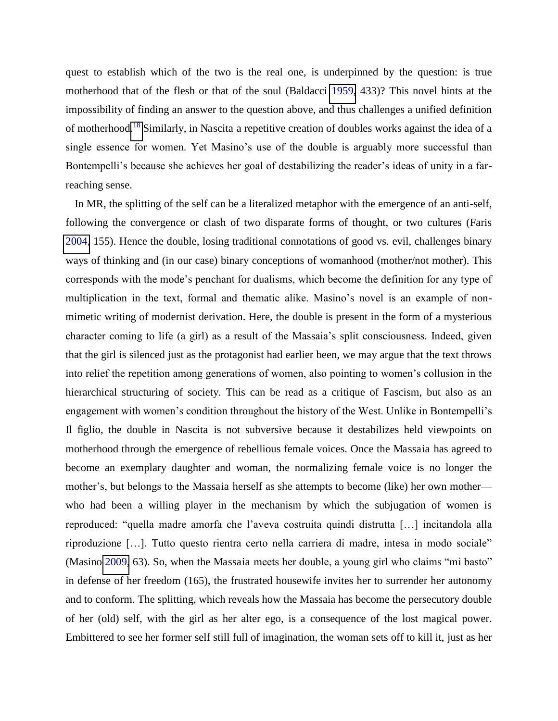quest to establish which of the two is the real one, is underpinned by the question: is true motherhood that of the flesh or that of the soul (Baldacci [1959,](#page-18-0) 433)? This novel hints at the impossibility of finding an answer to the question above, and thus challenges a unified definition of motherhood.[18](#page-18-0) Similarly, in Nascita a repetitive creation of doubles works against the idea of a single essence for women. Yet Masino's use of the double is arguably more successful than Bontempelli's because she achieves her goal of destabilizing the reader's ideas of unity in a farreaching sense.

In MR, the splitting of the self can be a literalized metaphor with the emergence of an anti-self, following the convergence or clash of two disparate forms of thought, or two cultures (Faris [2004,](#page-21-0) 155). Hence the double, losing traditional connotations of good vs. evil, challenges binary ways of thinking and (in our case) binary conceptions of womanhood (mother/not mother). This corresponds with the mode's penchant for dualisms, which become the definition for any type of multiplication in the text, formal and thematic alike. Masino's novel is an example of nonmimetic writing of modernist derivation. Here, the double is present in the form of a mysterious character coming to life (a girl) as a result of the Massaia's split consciousness. Indeed, given that the girl is silenced just as the protagonist had earlier been, we may argue that the text throws into relief the repetition among generations of women, also pointing to women's collusion in the hierarchical structuring of society. This can be read as a critique of Fascism, but also as an engagement with women's condition throughout the history of the West. Unlike in Bontempelli's Il figlio, the double in Nascita is not subversive because it destabilizes held viewpoints on motherhood through the emergence of rebellious female voices. Once the Massaia has agreed to become an exemplary daughter and woman, the normalizing female voice is no longer the mother's, but belongs to the Massaia herself as she attempts to become (like) her own mother who had been a willing player in the mechanism by which the subjugation of women is reproduced: "quella madre amorfa che l'aveva costruita quindi distrutta […] incitandola alla riproduzione […]. Tutto questo rientra certo nella carriera di madre, intesa in modo sociale" (Masino [2009,](#page-21-0) 63). So, when the Massaia meets her double, a young girl who claims "mi basto" in defense of her freedom (165), the frustrated housewife invites her to surrender her autonomy and to conform. The splitting, which reveals how the Massaia has become the persecutory double of her (old) self, with the girl as her alter ego, is a consequence of the lost magical power. Embittered to see her former self still full of imagination, the woman sets off to kill it, just as her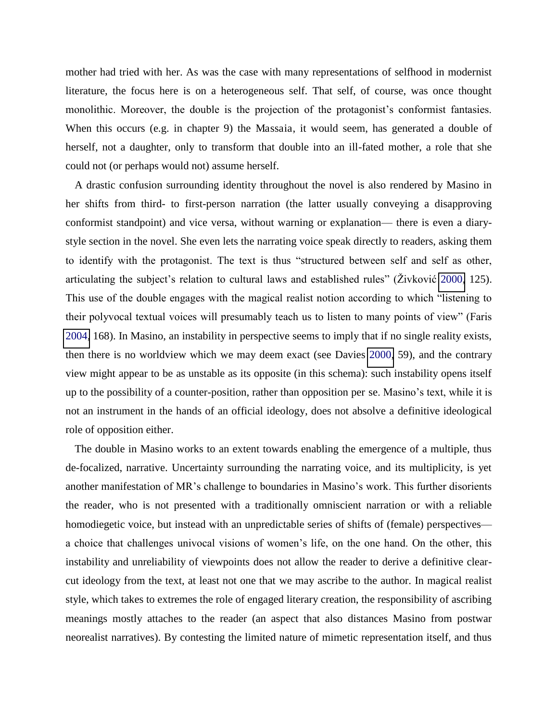mother had tried with her. As was the case with many representations of selfhood in modernist literature, the focus here is on a heterogeneous self. That self, of course, was once thought monolithic. Moreover, the double is the projection of the protagonist's conformist fantasies. When this occurs (e.g. in chapter 9) the Massaia, it would seem, has generated a double of herself, not a daughter, only to transform that double into an ill-fated mother, a role that she could not (or perhaps would not) assume herself.

<span id="page-16-0"></span>A drastic confusion surrounding identity throughout the novel is also rendered by Masino in her shifts from third- to first-person narration (the latter usually conveying a disapproving conformist standpoint) and vice versa, without warning or explanation— there is even a diarystyle section in the novel. She even lets the narrating voice speak directly to readers, asking them to identify with the protagonist. The text is thus "structured between self and self as other, articulating the subject's relation to cultural laws and established rules" (Živković [2000,](#page-24-0) 125). This use of the double engages with the magical realist notion according to which "listening to their polyvocal textual voices will presumably teach us to listen to many points of view" (Faris [2004,](#page-21-0) 168). In Masino, an instability in perspective seems to imply that if no single reality exists, then there is no worldview which we may deem exact (see Davies [2000,](#page-21-0) 59), and the contrary view might appear to be as unstable as its opposite (in this schema): such instability opens itself up to the possibility of a counter-position, rather than opposition per se. Masino's text, while it is not an instrument in the hands of an official ideology, does not absolve a definitive ideological role of opposition either.

The double in Masino works to an extent towards enabling the emergence of a multiple, thus de-focalized, narrative. Uncertainty surrounding the narrating voice, and its multiplicity, is yet another manifestation of MR's challenge to boundaries in Masino's work. This further disorients the reader, who is not presented with a traditionally omniscient narration or with a reliable homodiegetic voice, but instead with an unpredictable series of shifts of (female) perspectives a choice that challenges univocal visions of women's life, on the one hand. On the other, this instability and unreliability of viewpoints does not allow the reader to derive a definitive clearcut ideology from the text, at least not one that we may ascribe to the author. In magical realist style, which takes to extremes the role of engaged literary creation, the responsibility of ascribing meanings mostly attaches to the reader (an aspect that also distances Masino from postwar neorealist narratives). By contesting the limited nature of mimetic representation itself, and thus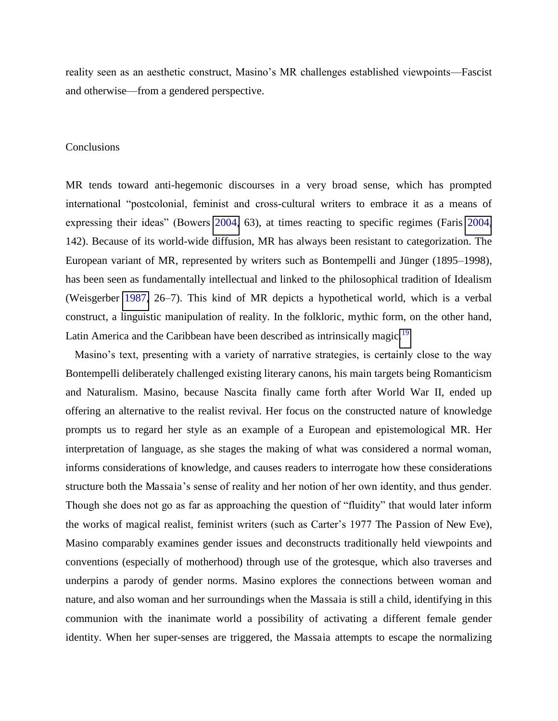reality seen as an aesthetic construct, Masino's MR challenges established viewpoints—Fascist and otherwise—from a gendered perspective.

#### Conclusions

MR tends toward anti-hegemonic discourses in a very broad sense, which has prompted international "postcolonial, feminist and cross-cultural writers to embrace it as a means of expressing their ideas" (Bowers [2004,](#page-18-0) 63), at times reacting to specific regimes (Faris [2004,](#page-21-0) 142). Because of its world-wide diffusion, MR has always been resistant to categorization. The European variant of MR, represented by writers such as Bontempelli and Jünger (1895–1998), has been seen as fundamentally intellectual and linked to the philosophical tradition of Idealism (Weisgerber [1987,](#page-24-0) 26–7). This kind of MR depicts a hypothetical world, which is a verbal construct, a linguistic manipulation of reality. In the folkloric, mythic form, on the other hand, Latin America and the Caribbean have been described as intrinsically magic.<sup>[19](#page-18-0)</sup>

Masino's text, presenting with a variety of narrative strategies, is certainly close to the way Bontempelli deliberately challenged existing literary canons, his main targets being Romanticism and Naturalism. Masino, because Nascita finally came forth after World War II, ended up offering an alternative to the realist revival. Her focus on the constructed nature of knowledge prompts us to regard her style as an example of a European and epistemological MR. Her interpretation of language, as she stages the making of what was considered a normal woman, informs considerations of knowledge, and causes readers to interrogate how these considerations structure both the Massaia's sense of reality and her notion of her own identity, and thus gender. Though she does not go as far as approaching the question of "fluidity" that would later inform the works of magical realist, feminist writers (such as Carter's 1977 The Passion of New Eve), Masino comparably examines gender issues and deconstructs traditionally held viewpoints and conventions (especially of motherhood) through use of the grotesque, which also traverses and underpins a parody of gender norms. Masino explores the connections between woman and nature, and also woman and her surroundings when the Massaia is still a child, identifying in this communion with the inanimate world a possibility of activating a different female gender identity. When her super-senses are triggered, the Massaia attempts to escape the normalizing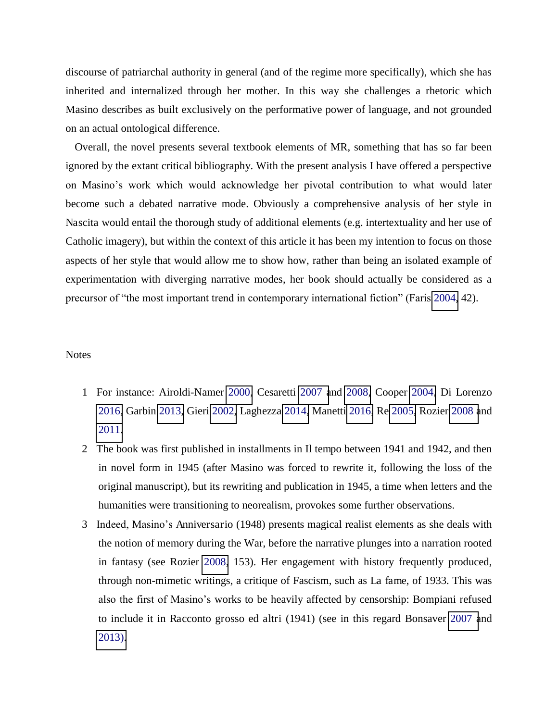<span id="page-18-0"></span>discourse of patriarchal authority in general (and of the regime more specifically), which she has inherited and internalized through her mother. In this way she challenges a rhetoric which Masino describes as built exclusively on the performative power of language, and not grounded on an actual ontological difference.

Overall, the novel presents several textbook elements of MR, something that has so far been ignored by the extant critical bibliography. With the present analysis I have offered a perspective on Masino's work which would acknowledge her pivotal contribution to what would later become such a debated narrative mode. Obviously a comprehensive analysis of her style in Nascita would entail the thorough study of additional elements (e.g. intertextuality and her use of Catholic imagery), but within the context of this article it has been my intention to focus on those aspects of her style that would allow me to show how, rather than being an isolated example of experimentation with diverging narrative modes, her book should actually be considered as a precursor of "the most important trend in contemporary international fiction" (Faris [2004,](#page-21-0) 42).

### **Notes**

- 1 For instance: Airoldi-Namer [2000,](#page-18-0) Cesaretti [2007 a](#page-18-0)nd [2008,](#page-21-0) Cooper [2004,](#page-21-0) Di Lorenzo [2016,](#page-21-0) Garbin [2013,](#page-21-0) Gieri [2002,](#page-21-0) Laghezza [2014,](#page-21-0) Manetti [2016,](#page-21-0) Re [2005,](#page-21-0) Rozier [2008 a](#page-21-0)nd [2011.](#page-21-0)
- 2 The book was first published in installments in Il tempo between 1941 and 1942, and then in novel form in 1945 (after Masino was forced to rewrite it, following the loss of the original manuscript), but its rewriting and publication in 1945, a time when letters and the humanities were transitioning to neorealism, provokes some further observations.
- 3 Indeed, Masino's Anniversario (1948) presents magical realist elements as she deals with the notion of memory during the War, before the narrative plunges into a narration rooted in fantasy (see Rozier [2008,](#page-21-0) 153). Her engagement with history frequently produced, through non-mimetic writings, a critique of Fascism, such as La fame, of 1933. This was also the first of Masino's works to be heavily affected by censorship: Bompiani refused to include it in Racconto grosso ed altri (1941) (see in this regard Bonsaver [2007 a](#page-18-0)nd [2013\).](#page-18-0)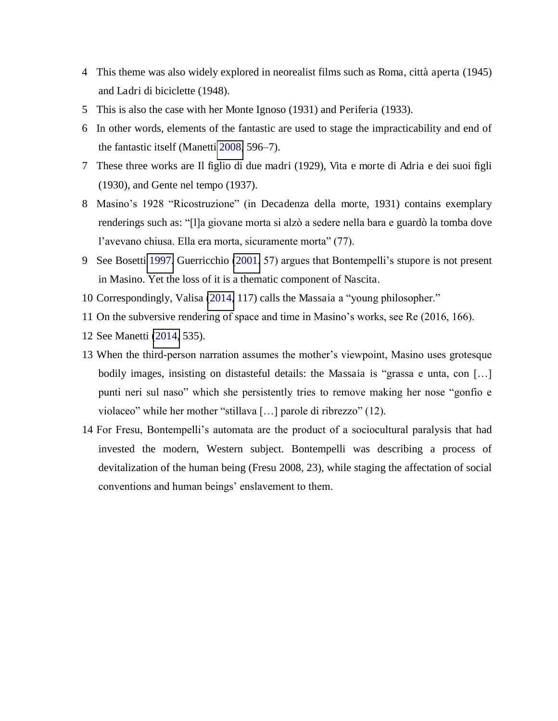- 4 This theme was also widely explored in neorealist films such as Roma, città aperta (1945) and Ladri di biciclette (1948).
- 5 This is also the case with her Monte Ignoso (1931) and Periferia (1933).
- 6 In other words, elements of the fantastic are used to stage the impracticability and end of the fantastic itself (Manetti [2008,](#page-21-0) 596–7).
- 7 These three works are Il figlio di due madri (1929), Vita e morte di Adria e dei suoi figli (1930), and Gente nel tempo (1937).
- 8 Masino's 1928 "Ricostruzione" (in Decadenza della morte, 1931) contains exemplary renderings such as: "[l]a giovane morta si alzò a sedere nella bara e guardò la tomba dove l'avevano chiusa. Ella era morta, sicuramente morta" (77).
- 9 See Bosetti [1997.](#page-18-0) Guerricchio [\(2001](#page-21-0), 57) argues that Bontempelli's stupore is not present in Masino. Yet the loss of it is a thematic component of Nascita.
- 10 Correspondingly, Valisa [\(2014,](#page-24-0) 117) calls the Massaia a "young philosopher."
- 11 On the subversive rendering of space and time in Masino's works, see Re (2016, 166).
- 12 See Manetti [\(2014,](#page-21-0) 535).
- 13 When the third-person narration assumes the mother's viewpoint, Masino uses grotesque bodily images, insisting on distasteful details: the Massaia is "grassa e unta, con [...] punti neri sul naso" which she persistently tries to remove making her nose "gonfio e violaceo" while her mother "stillava […] parole di ribrezzo" (12).
- 14 For Fresu, Bontempelli's automata are the product of a sociocultural paralysis that had invested the modern, Western subject. Bontempelli was describing a process of devitalization of the human being (Fresu 2008, 23), while staging the affectation of social conventions and human beings' enslavement to them.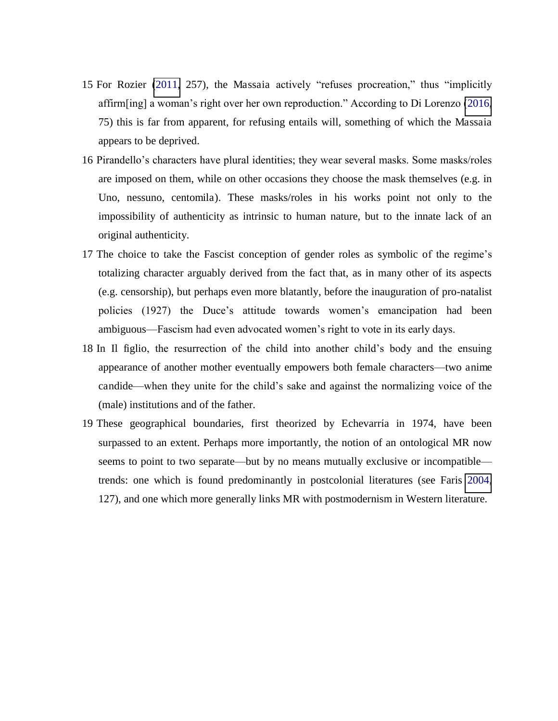- 15 For Rozier [\(2011,](#page-21-0) 257), the Massaia actively "refuses procreation," thus "implicitly affirm[ing] a woman's right over her own reproduction." According to Di Lorenzo ([2016,](#page-21-0) 75) this is far from apparent, for refusing entails will, something of which the Massaia appears to be deprived.
- 16 Pirandello's characters have plural identities; they wear several masks. Some masks/roles are imposed on them, while on other occasions they choose the mask themselves (e.g. in Uno, nessuno, centomila). These masks/roles in his works point not only to the impossibility of authenticity as intrinsic to human nature, but to the innate lack of an original authenticity.
- 17 The choice to take the Fascist conception of gender roles as symbolic of the regime's totalizing character arguably derived from the fact that, as in many other of its aspects (e.g. censorship), but perhaps even more blatantly, before the inauguration of pro-natalist policies (1927) the Duce's attitude towards women's emancipation had been ambiguous—Fascism had even advocated women's right to vote in its early days.
- 18 In Il figlio, the resurrection of the child into another child's body and the ensuing appearance of another mother eventually empowers both female characters—two anime candide—when they unite for the child's sake and against the normalizing voice of the (male) institutions and of the father.
- 19 These geographical boundaries, first theorized by Echevarŕa in 1974, have been surpassed to an extent. Perhaps more importantly, the notion of an ontological MR now seems to point to two separate—but by no means mutually exclusive or incompatible trends: one which is found predominantly in postcolonial literatures (see Faris [2004,](#page-21-0) 127), and one which more generally links MR with postmodernism in Western literature.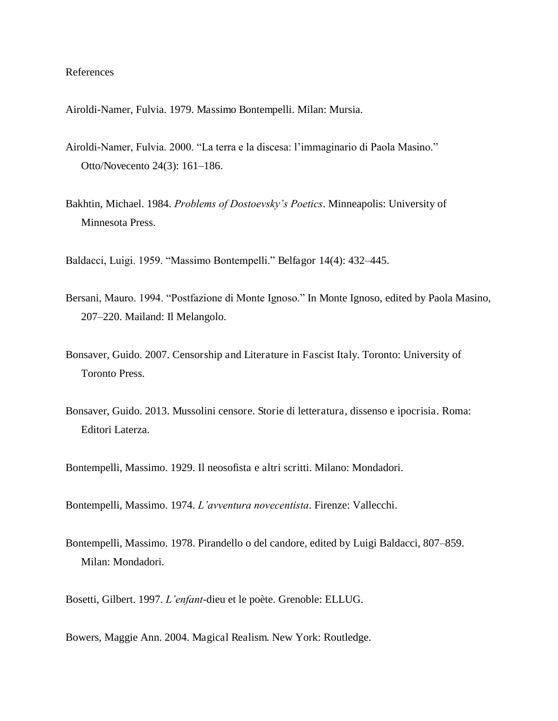References

Airoldi-Namer, Fulvia. 1979. Massimo Bontempelli. Milan: Mursia.

- Airoldi-Namer, Fulvia. 2000. "La terra e la discesa: l'immaginario di Paola Masino." Otto/Novecento 24(3): 161–186.
- <span id="page-21-0"></span>Bakhtin, Michael. 1984. *Problems of Dostoevsky's Poetics*. Minneapolis: University of Minnesota Press.

Baldacci, Luigi. 1959. "Massimo Bontempelli." Belfagor 14(4): 432–445.

- Bersani, Mauro. 1994. "Postfazione di Monte Ignoso." In Monte Ignoso, edited by Paola Masino, 207–220. Mailand: Il Melangolo.
- Bonsaver, Guido. 2007. Censorship and Literature in Fascist Italy. Toronto: University of Toronto Press.
- Bonsaver, Guido. 2013. Mussolini censore. Storie di letteratura, dissenso e ipocrisia. Roma: Editori Laterza.

Bontempelli, Massimo. 1929. Il neosofista e altri scritti. Milano: Mondadori.

- Bontempelli, Massimo. 1974. *L'avventura novecentista*. Firenze: Vallecchi.
- Bontempelli, Massimo. 1978. Pirandello o del candore, edited by Luigi Baldacci, 807–859. Milan: Mondadori.

Bosetti, Gilbert. 1997. *L'enfant*-dieu et le poète. Grenoble: ELLUG.

Bowers, Maggie Ann. 2004. Magical Realism. New York: Routledge.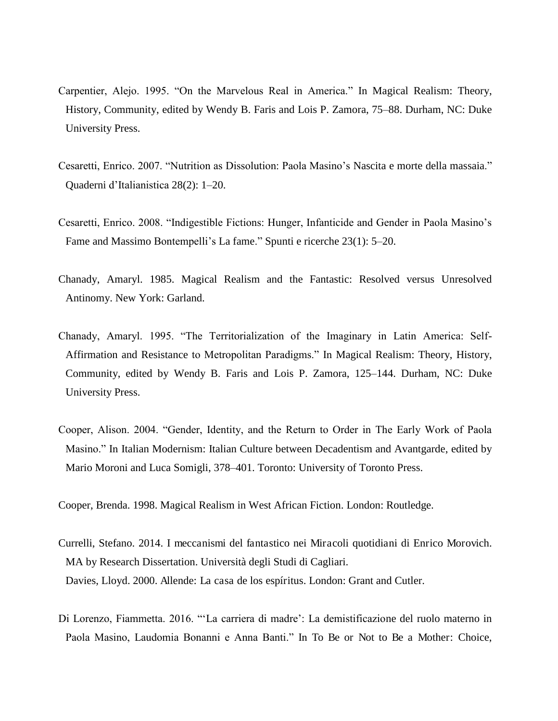- Carpentier, Alejo. 1995. "On the Marvelous Real in America." In Magical Realism: Theory, History, Community, edited by Wendy B. Faris and Lois P. Zamora, 75–88. Durham, NC: Duke University Press.
- Cesaretti, Enrico. 2007. "Nutrition as Dissolution: Paola Masino's Nascita e morte della massaia." Quaderni d'Italianistica 28(2): 1–20.
- Cesaretti, Enrico. 2008. "Indigestible Fictions: Hunger, Infanticide and Gender in Paola Masino's Fame and Massimo Bontempelli's La fame." Spunti e ricerche 23(1): 5–20.
- Chanady, Amaryl. 1985. Magical Realism and the Fantastic: Resolved versus Unresolved Antinomy. New York: Garland.
- Chanady, Amaryl. 1995. "The Territorialization of the Imaginary in Latin America: Self-Affirmation and Resistance to Metropolitan Paradigms." In Magical Realism: Theory, History, Community, edited by Wendy B. Faris and Lois P. Zamora, 125–144. Durham, NC: Duke University Press.
- Cooper, Alison. 2004. "Gender, Identity, and the Return to Order in The Early Work of Paola Masino." In Italian Modernism: Italian Culture between Decadentism and Avantgarde, edited by Mario Moroni and Luca Somigli, 378–401. Toronto: University of Toronto Press.

Cooper, Brenda. 1998. Magical Realism in West African Fiction. London: Routledge.

- Currelli, Stefano. 2014. I meccanismi del fantastico nei Miracoli quotidiani di Enrico Morovich. MA by Research Dissertation. Università degli Studi di Cagliari. Davies, Lloyd. 2000. Allende: La casa de los espíritus. London: Grant and Cutler.
- Di Lorenzo, Fiammetta. 2016. "'La carriera di madre': La demistificazione del ruolo materno in Paola Masino, Laudomia Bonanni e Anna Banti." In To Be or Not to Be a Mother: Choice,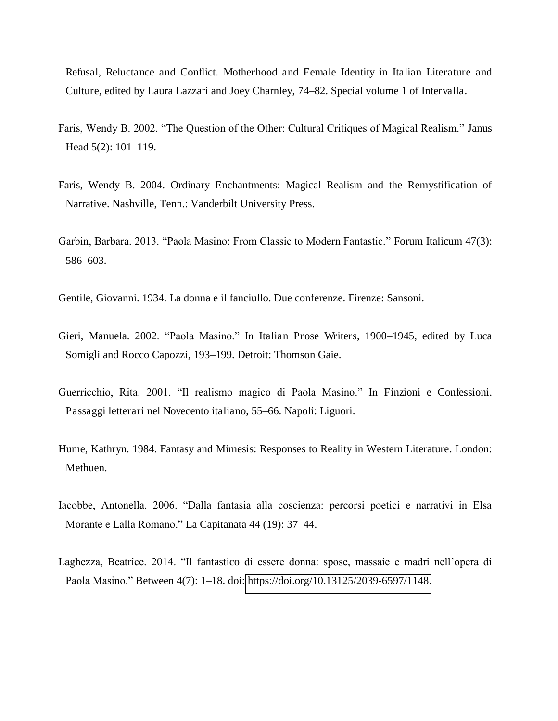Refusal, Reluctance and Conflict. Motherhood and Female Identity in Italian Literature and Culture, edited by Laura Lazzari and Joey Charnley, 74–82. Special volume 1 of Intervalla.

- Faris, Wendy B. 2002. "The Question of the Other: Cultural Critiques of Magical Realism." Janus Head 5(2): 101–119.
- Faris, Wendy B. 2004. Ordinary Enchantments: Magical Realism and the Remystification of Narrative. Nashville, Tenn.: Vanderbilt University Press.
- Garbin, Barbara. 2013. "Paola Masino: From Classic to Modern Fantastic." Forum Italicum 47(3): 586–603.
- Gentile, Giovanni. 1934. La donna e il fanciullo. Due conferenze. Firenze: Sansoni.
- Gieri, Manuela. 2002. "Paola Masino." In Italian Prose Writers, 1900*–*1945, edited by Luca Somigli and Rocco Capozzi, 193–199. Detroit: Thomson Gaie.
- Guerricchio, Rita. 2001. "Il realismo magico di Paola Masino." In Finzioni e Confessioni. Passaggi letterari nel Novecento italiano, 55–66. Napoli: Liguori.
- Hume, Kathryn. 1984. Fantasy and Mimesis: Responses to Reality in Western Literature. London: Methuen.
- Iacobbe, Antonella. 2006. "Dalla fantasia alla coscienza: percorsi poetici e narrativi in Elsa Morante e Lalla Romano." La Capitanata 44 (19): 37–44.
- Laghezza, Beatrice. 2014. "Il fantastico di essere donna: spose, massaie e madri nell'opera di Paola Masino." Between 4(7): 1–18. doi: [https://doi.org/10.13125/2039-6597/1148.](https://doi.org/10.13125/2039-6597/1148)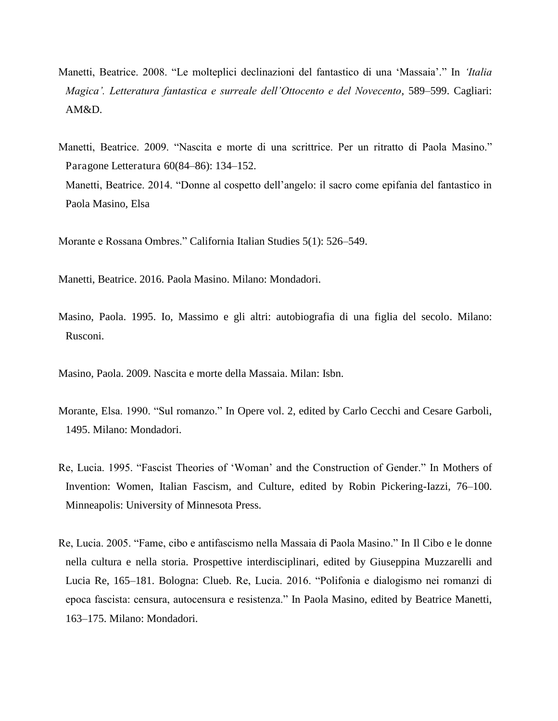- Manetti, Beatrice. 2008. "Le molteplici declinazioni del fantastico di una 'Massaia'." In *'Italia Magica'. Letteratura fantastica e surreale dell'Ottocento e del Novecento*, 589–599. Cagliari: AM&D.
- Manetti, Beatrice. 2009. "Nascita e morte di una scrittrice. Per un ritratto di Paola Masino." Paragone Letteratura 60(84–86): 134–152. Manetti, Beatrice. 2014. "Donne al cospetto dell'angelo: il sacro come epifania del fantastico in Paola Masino, Elsa

Morante e Rossana Ombres." California Italian Studies 5(1): 526–549.

Manetti, Beatrice. 2016. Paola Masino. Milano: Mondadori.

<span id="page-24-0"></span>Masino, Paola. 1995. Io, Massimo e gli altri: autobiografia di una figlia del secolo. Milano: Rusconi.

Masino, Paola. 2009. Nascita e morte della Massaia. Milan: Isbn.

- Morante, Elsa. 1990. "Sul romanzo." In Opere vol. 2, edited by Carlo Cecchi and Cesare Garboli, 1495. Milano: Mondadori.
- Re, Lucia. 1995. "Fascist Theories of 'Woman' and the Construction of Gender." In Mothers of Invention: Women, Italian Fascism, and Culture, edited by Robin Pickering-Iazzi, 76–100. Minneapolis: University of Minnesota Press.
- Re, Lucia. 2005. "Fame, cibo e antifascismo nella Massaia di Paola Masino." In Il Cibo e le donne nella cultura e nella storia. Prospettive interdisciplinari, edited by Giuseppina Muzzarelli and Lucia Re, 165–181. Bologna: Clueb. Re, Lucia. 2016. "Polifonia e dialogismo nei romanzi di epoca fascista: censura, autocensura e resistenza." In Paola Masino, edited by Beatrice Manetti, 163–175. Milano: Mondadori.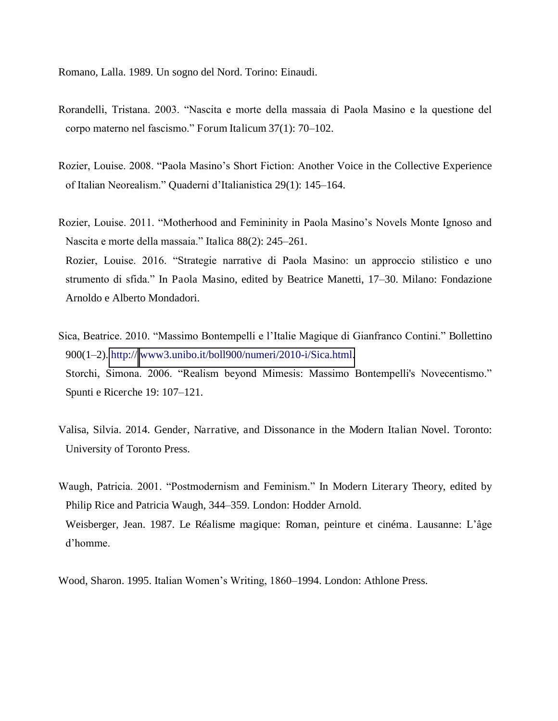Romano, Lalla. 1989. Un sogno del Nord. Torino: Einaudi.

- Rorandelli, Tristana. 2003. "Nascita e morte della massaia di Paola Masino e la questione del corpo materno nel fascismo." Forum Italicum 37(1): 70–102.
- Rozier, Louise. 2008. "Paola Masino's Short Fiction: Another Voice in the Collective Experience of Italian Neorealism." Quaderni d'Italianistica 29(1): 145–164.
- Rozier, Louise. 2011. "Motherhood and Femininity in Paola Masino's Novels Monte Ignoso and Nascita e morte della massaia." Italica 88(2): 245–261. Rozier, Louise. 2016. "Strategie narrative di Paola Masino: un approccio stilistico e uno
- strumento di sfida." In Paola Masino, edited by Beatrice Manetti, 17–30. Milano: Fondazione Arnoldo e Alberto Mondadori.
- Sica, Beatrice. 2010. "Massimo Bontempelli e l'Italie Magique di Gianfranco Contini." Bollettino 900(1–2). [http://](http://www3.unibo.it/boll900/numeri/2010-i/Sica.html) [www3.unibo.it/boll900/numeri/2010-i/Sica.html.](http://www3.unibo.it/boll900/numeri/2010-i/Sica.html) Storchi, Simona. 2006. "Realism beyond Mimesis: Massimo Bontempelli's Novecentismo." Spunti e Ricerche 19: 107–121.
- Valisa, Silvia. 2014. Gender, Narrative, and Dissonance in the Modern Italian Novel. Toronto: University of Toronto Press.
- Waugh, Patricia. 2001. "Postmodernism and Feminism." In Modern Literary Theory, edited by Philip Rice and Patricia Waugh, 344–359. London: Hodder Arnold. Weisberger, Jean. 1987. Le Réalisme magique: Roman, peinture et cinéma. Lausanne: L'âge d'homme.

Wood, Sharon. 1995. Italian Women's Writing, 1860–1994. London: Athlone Press.